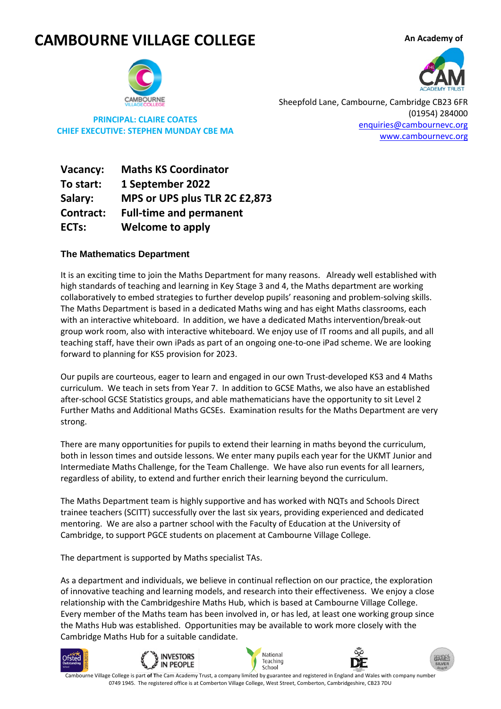# **CAMBOURNE VILLAGE COLLEGE**

**An Academy of** 



**PRINCIPAL: CLAIRE COATES CHIEF EXECUTIVE: STEPHEN MUNDAY CBE MA** Sheepfold Lane, Cambourne, Cambridge CB23 6FR (01954) 284000 [enquiries@cambournevc.org](mailto:enquiries@cambournevc.org) [www.cambournevc.org](http://www.cambournevc.org/)

**Contract:** Full-time and permanent **ECTs:** Welcome to apply **Vacancy: Maths KS Coordinator To start: 1 September 2022 Salary: MPS or UPS plus TLR 2C £2,873**

## **The Mathematics Department**

It is an exciting time to join the Maths Department for many reasons. Already well established with high standards of teaching and learning in Key Stage 3 and 4, the Maths department are working collaboratively to embed strategies to further develop pupils' reasoning and problem-solving skills. The Maths Department is based in a dedicated Maths wing and has eight Maths classrooms, each with an interactive whiteboard. In addition, we have a dedicated Maths intervention/break-out group work room, also with interactive whiteboard. We enjoy use of IT rooms and all pupils, and all teaching staff, have their own iPads as part of an ongoing one-to-one iPad scheme. We are looking forward to planning for KS5 provision for 2023.

Our pupils are courteous, eager to learn and engaged in our own Trust-developed KS3 and 4 Maths curriculum. We teach in sets from Year 7. In addition to GCSE Maths, we also have an established after-school GCSE Statistics groups, and able mathematicians have the opportunity to sit Level 2 Further Maths and Additional Maths GCSEs. Examination results for the Maths Department are very strong.

There are many opportunities for pupils to extend their learning in maths beyond the curriculum, both in lesson times and outside lessons. We enter many pupils each year for the UKMT Junior and Intermediate Maths Challenge, for the Team Challenge. We have also run events for all learners, regardless of ability, to extend and further enrich their learning beyond the curriculum.

The Maths Department team is highly supportive and has worked with NQTs and Schools Direct trainee teachers (SCITT) successfully over the last six years, providing experienced and dedicated mentoring. We are also a partner school with the Faculty of Education at the University of Cambridge, to support PGCE students on placement at Cambourne Village College.

The department is supported by Maths specialist TAs.

As a department and individuals, we believe in continual reflection on our practice, the exploration of innovative teaching and learning models, and research into their effectiveness. We enjoy a close relationship with the Cambridgeshire Maths Hub, which is based at Cambourne Village College. Every member of the Maths team has been involved in, or has led, at least one working group since the Maths Hub was established. Opportunities may be available to work more closely with the Cambridge Maths Hub for a suitable candidate.





0749 1945. The registered office is at Comberton Village College, West Street, Comberton, Cambridgeshire, CB23 7DU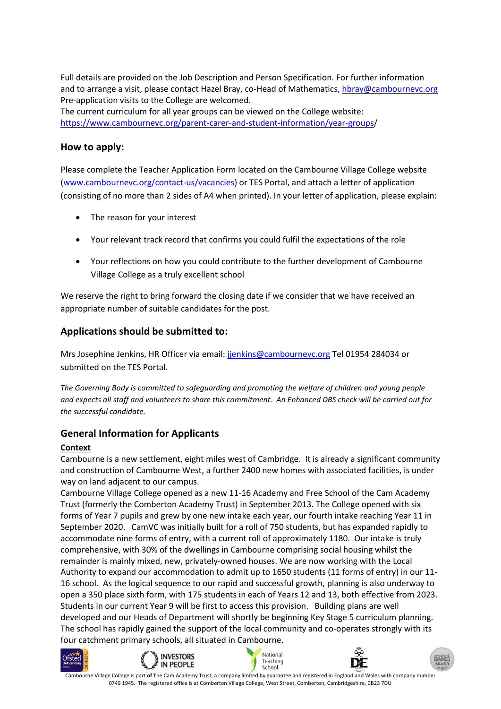Full details are provided on the Job Description and Person Specification. For further information and to arrange a visit, please contact Hazel Bray, co-Head of Mathematics[, hbray@cambournevc.org](mailto:hbray@cambournevc.org) Pre-application visits to the College are welcomed.

The current curriculum for all year groups can be viewed on the College website: [https://www.cambournevc.org/parent-carer-and-student-information/year-groups/](https://www.cambournevc.org/parent-carer-and-student-information/year-groups)

# **How to apply:**

Please complete the Teacher Application Form located on the Cambourne Village College website [\(www.cambournevc.org/](http://www.cambournevc.org/)contact-us/vacancies) or TES Portal, and attach a letter of application (consisting of no more than 2 sides of A4 when printed). In your letter of application, please explain:

- The reason for your interest
- Your relevant track record that confirms you could fulfil the expectations of the role
- Your reflections on how you could contribute to the further development of Cambourne Village College as a truly excellent school

We reserve the right to bring forward the closing date if we consider that we have received an appropriate number of suitable candidates for the post.

# **Applications should be submitted to:**

Mrs Josephine Jenkins, HR Officer via email: [jjenkins@cambournevc.org](mailto:jjenkins@cambournevc.org) Tel 01954 284034 or submitted on the TES Portal.

*The Governing Body is committed to safeguarding and promoting the welfare of children and young people and expects all staff and volunteers to share this commitment. An Enhanced DBS check will be carried out for the successful candidate.* 

# **General Information for Applicants**

## **Context**

Cambourne is a new settlement, eight miles west of Cambridge. It is already a significant community and construction of Cambourne West, a further 2400 new homes with associated facilities, is under way on land adjacent to our campus.

Cambourne Village College opened as a new 11-16 Academy and Free School of the Cam Academy Trust (formerly the Comberton Academy Trust) in September 2013. The College opened with six forms of Year 7 pupils and grew by one new intake each year, our fourth intake reaching Year 11 in September 2020. CamVC was initially built for a roll of 750 students, but has expanded rapidly to accommodate nine forms of entry, with a current roll of approximately 1180. Our intake is truly comprehensive, with 30% of the dwellings in Cambourne comprising social housing whilst the remainder is mainly mixed, new, privately-owned houses. We are now working with the Local Authority to expand our accommodation to admit up to 1650 students (11 forms of entry) in our 11- 16 school. As the logical sequence to our rapid and successful growth, planning is also underway to open a 350 place sixth form, with 175 students in each of Years 12 and 13, both effective from 2023. Students in our current Year 9 will be first to access this provision. Building plans are well developed and our Heads of Department will shortly be beginning Key Stage 5 curriculum planning. The school has rapidly gained the support of the local community and co-operates strongly with its four catchment primary schools, all situated in Cambourne.











Cambourne Village College is part **of T**he Cam Academy Trust, a company limited by guarantee and registered in England and Wales with company number 0749 1945. The registered office is at Comberton Village College, West Street, Comberton, Cambridgeshire, CB23 7DU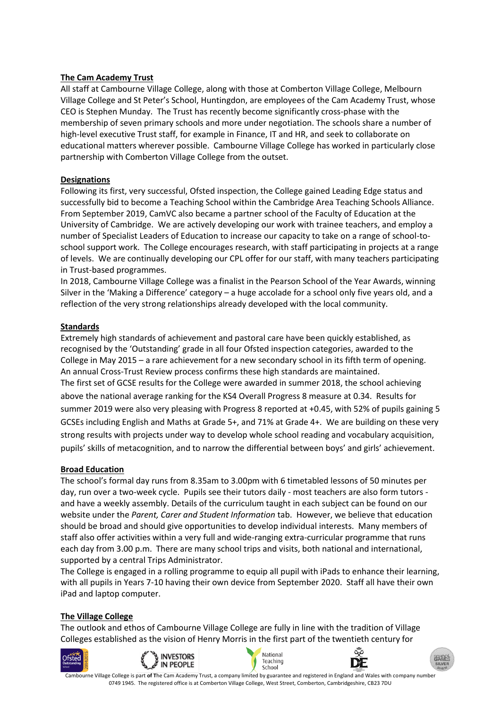#### **The Cam Academy Trust**

All staff at Cambourne Village College, along with those at Comberton Village College, Melbourn Village College and St Peter's School, Huntingdon, are employees of the Cam Academy Trust, whose CEO is Stephen Munday. The Trust has recently become significantly cross-phase with the membership of seven primary schools and more under negotiation. The schools share a number of high-level executive Trust staff, for example in Finance, IT and HR, and seek to collaborate on educational matters wherever possible. Cambourne Village College has worked in particularly close partnership with Comberton Village College from the outset.

#### **Designations**

Following its first, very successful, Ofsted inspection, the College gained Leading Edge status and successfully bid to become a Teaching School within the Cambridge Area Teaching Schools Alliance. From September 2019, CamVC also became a partner school of the Faculty of Education at the University of Cambridge. We are actively developing our work with trainee teachers, and employ a number of Specialist Leaders of Education to increase our capacity to take on a range of school-toschool support work. The College encourages research, with staff participating in projects at a range of levels. We are continually developing our CPL offer for our staff, with many teachers participating in Trust-based programmes.

In 2018, Cambourne Village College was a finalist in the Pearson School of the Year Awards, winning Silver in the 'Making a Difference' category – a huge accolade for a school only five years old, and a reflection of the very strong relationships already developed with the local community.

## **Standards**

Extremely high standards of achievement and pastoral care have been quickly established, as recognised by the 'Outstanding' grade in all four Ofsted inspection categories, awarded to the College in May 2015 – a rare achievement for a new secondary school in its fifth term of opening. An annual Cross-Trust Review process confirms these high standards are maintained. The first set of GCSE results for the College were awarded in summer 2018, the school achieving above the national average ranking for the KS4 Overall Progress 8 measure at 0.34. Results for summer 2019 were also very pleasing with Progress 8 reported at +0.45, with 52% of pupils gaining 5 GCSEs including English and Maths at Grade 5+, and 71% at Grade 4+. We are building on these very strong results with projects under way to develop whole school reading and vocabulary acquisition, pupils' skills of metacognition, and to narrow the differential between boys' and girls' achievement.

#### **Broad Education**

The school's formal day runs from 8.35am to 3.00pm with 6 timetabled lessons of 50 minutes per day, run over a two-week cycle. Pupils see their tutors daily - most teachers are also form tutors and have a weekly assembly. Details of the curriculum taught in each subject can be found on our website under the *Parent, Carer and Student Information* tab. However, we believe that education should be broad and should give opportunities to develop individual interests. Many members of staff also offer activities within a very full and wide-ranging extra-curricular programme that runs each day from 3.00 p.m. There are many school trips and visits, both national and international, supported by a central Trips Administrator.

The College is engaged in a rolling programme to equip all pupil with iPads to enhance their learning, with all pupils in Years 7-10 having their own device from September 2020. Staff all have their own iPad and laptop computer.

#### **The Village College**

The outlook and ethos of Cambourne Village College are fully in line with the tradition of Village Colleges established as the vision of Henry Morris in the first part of the twentieth century for







0749 1945. The registered office is at Comberton Village College, West Street, Comberton, Cambridgeshire, CB23 7DU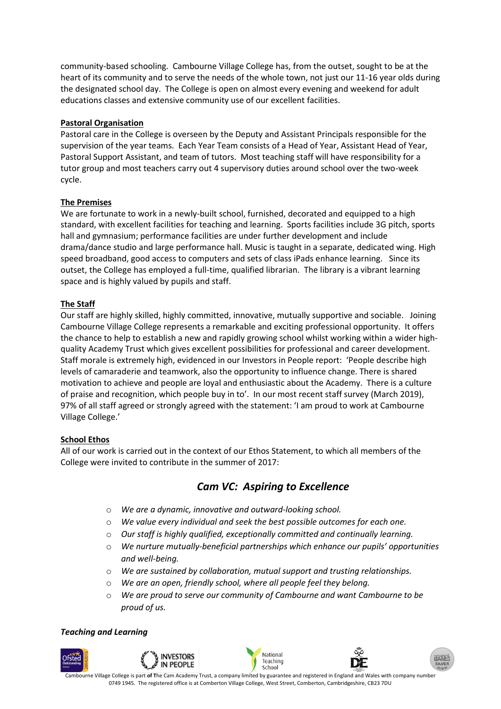community-based schooling. Cambourne Village College has, from the outset, sought to be at the heart of its community and to serve the needs of the whole town, not just our 11-16 year olds during the designated school day. The College is open on almost every evening and weekend for adult educations classes and extensive community use of our excellent facilities.

#### **Pastoral Organisation**

Pastoral care in the College is overseen by the Deputy and Assistant Principals responsible for the supervision of the year teams. Each Year Team consists of a Head of Year, Assistant Head of Year, Pastoral Support Assistant, and team of tutors. Most teaching staff will have responsibility for a tutor group and most teachers carry out 4 supervisory duties around school over the two-week cycle.

#### **The Premises**

We are fortunate to work in a newly-built school, furnished, decorated and equipped to a high standard, with excellent facilities for teaching and learning. Sports facilities include 3G pitch, sports hall and gymnasium; performance facilities are under further development and include drama/dance studio and large performance hall. Music is taught in a separate, dedicated wing. High speed broadband, good access to computers and sets of class iPads enhance learning. Since its outset, the College has employed a full-time, qualified librarian. The library is a vibrant learning space and is highly valued by pupils and staff.

## **The Staff**

Our staff are highly skilled, highly committed, innovative, mutually supportive and sociable. Joining Cambourne Village College represents a remarkable and exciting professional opportunity. It offers the chance to help to establish a new and rapidly growing school whilst working within a wider highquality Academy Trust which gives excellent possibilities for professional and career development. Staff morale is extremely high, evidenced in our Investors in People report: 'People describe high levels of camaraderie and teamwork, also the opportunity to influence change. There is shared motivation to achieve and people are loyal and enthusiastic about the Academy. There is a culture of praise and recognition, which people buy in to'. In our most recent staff survey (March 2019), 97% of all staff agreed or strongly agreed with the statement: 'I am proud to work at Cambourne Village College.'

#### **School Ethos**

All of our work is carried out in the context of our Ethos Statement, to which all members of the College were invited to contribute in the summer of 2017:

# *Cam VC: Aspiring to Excellence*

- o *We are a dynamic, innovative and outward-looking school.*
- o *We value every individual and seek the best possible outcomes for each one.*
- o *Our staff is highly qualified, exceptionally committed and continually learning.*
- o *We nurture mutually-beneficial partnerships which enhance our pupils' opportunities and well-being.*
- o *We are sustained by collaboration, mutual support and trusting relationships.*
- o *We are an open, friendly school, where all people feel they belong.*
- o *We are proud to serve our community of Cambourne and want Cambourne to be proud of us.*

#### *Teaching and Learning*



0749 1945. The registered office is at Comberton Village College, West Street, Comberton, Cambridgeshire, CB23 7DU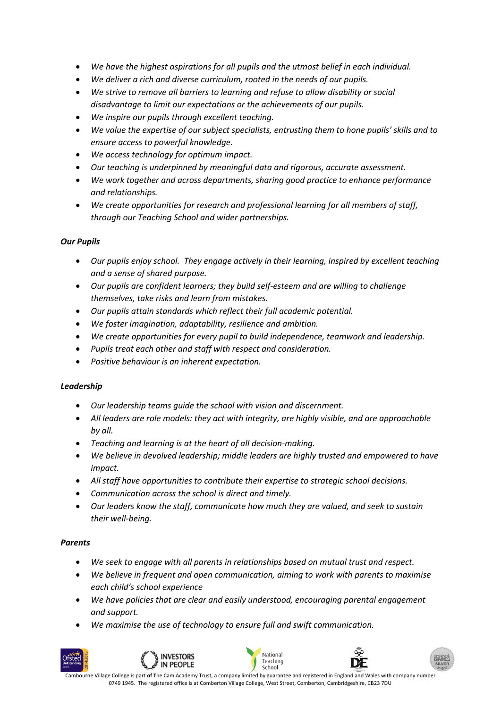- *We have the highest aspirations for all pupils and the utmost belief in each individual.*
- *We deliver a rich and diverse curriculum, rooted in the needs of our pupils.*
- *We strive to remove all barriers to learning and refuse to allow disability or social disadvantage to limit our expectations or the achievements of our pupils.*
- *We inspire our pupils through excellent teaching.*
- *We value the expertise of our subject specialists, entrusting them to hone pupils' skills and to ensure access to powerful knowledge.*
- *We access technology for optimum impact.*
- *Our teaching is underpinned by meaningful data and rigorous, accurate assessment.*
- *We work together and across departments, sharing good practice to enhance performance and relationships.*
- *We create opportunities for research and professional learning for all members of staff, through our Teaching School and wider partnerships.*

## *Our Pupils*

- *Our pupils enjoy school. They engage actively in their learning, inspired by excellent teaching and a sense of shared purpose.*
- *Our pupils are confident learners; they build self-esteem and are willing to challenge themselves, take risks and learn from mistakes.*
- *Our pupils attain standards which reflect their full academic potential.*
- *We foster imagination, adaptability, resilience and ambition.*
- *We create opportunities for every pupil to build independence, teamwork and leadership.*
- *Pupils treat each other and staff with respect and consideration.*
- *Positive behaviour is an inherent expectation.*

#### *Leadership*

- *Our leadership teams guide the school with vision and discernment.*
- *All leaders are role models: they act with integrity, are highly visible, and are approachable by all.*
- *Teaching and learning is at the heart of all decision-making.*
- *We believe in devolved leadership; middle leaders are highly trusted and empowered to have impact.*
- *All staff have opportunities to contribute their expertise to strategic school decisions.*
- *Communication across the school is direct and timely.*
- *Our leaders know the staff, communicate how much they are valued, and seek to sustain their well-being.*

#### *Parents*

- *We seek to engage with all parents in relationships based on mutual trust and respect.*
- *We believe in frequent and open communication, aiming to work with parents to maximise each child's school experience*
- *We have policies that are clear and easily understood, encouraging parental engagement and support.*
- *We maximise the use of technology to ensure full and swift communication.*







Cambourne Village College is part **of T**he Cam Academy Trust, a company limited by guarantee and registered in England and Wales with company number 0749 1945. The registered office is at Comberton Village College, West Street, Comberton, Cambridgeshire, CB23 7DU